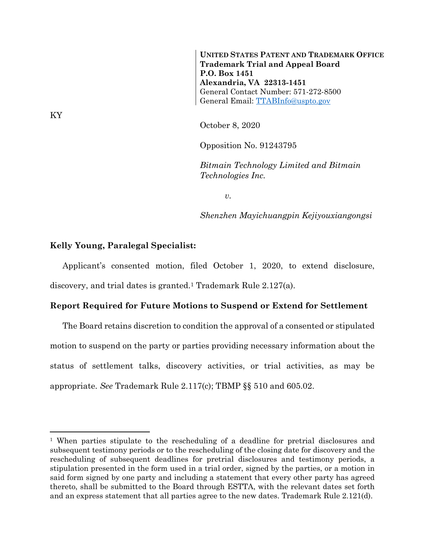**UNITED STATES PATENT AND TRADEMARK OFFICE Trademark Trial and Appeal Board P.O. Box 1451 Alexandria, VA 22313-1451** General Contact Number: 571-272-8500 General Email: [TTABInfo@uspto.gov](mailto:TTABInfo@uspto.gov)

October 8, 2020

Opposition No. 91243795

*Bitmain Technology Limited and Bitmain Technologies Inc.*

*v.*

*Shenzhen Mayichuangpin Kejiyouxiangongsi*

## **Kelly Young, Paralegal Specialist:**

Applicant's consented motion, filed October 1, 2020, to extend disclosure, discovery, and trial dates is granted.<sup>1</sup> Trademark Rule 2.127(a).

## **Report Required for Future Motions to Suspend or Extend for Settlement**

The Board retains discretion to condition the approval of a consented or stipulated motion to suspend on the party or parties providing necessary information about the status of settlement talks, discovery activities, or trial activities, as may be appropriate. *See* Trademark Rule 2.117(c); TBMP §§ 510 and 605.02.

KY

l

<sup>1</sup> When parties stipulate to the rescheduling of a deadline for pretrial disclosures and subsequent testimony periods or to the rescheduling of the closing date for discovery and the rescheduling of subsequent deadlines for pretrial disclosures and testimony periods, a stipulation presented in the form used in a trial order, signed by the parties, or a motion in said form signed by one party and including a statement that every other party has agreed thereto, shall be submitted to the Board through ESTTA, with the relevant dates set forth and an express statement that all parties agree to the new dates. Trademark Rule 2.121(d).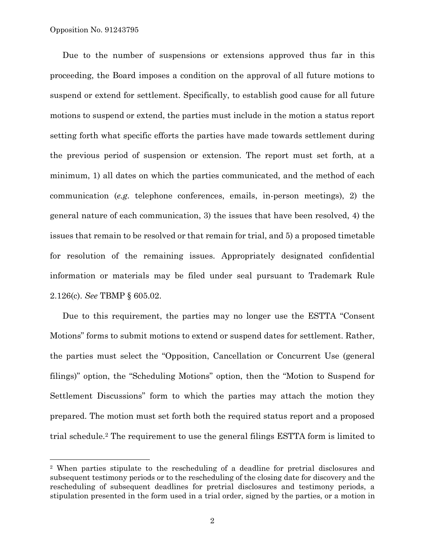l

Due to the number of suspensions or extensions approved thus far in this proceeding, the Board imposes a condition on the approval of all future motions to suspend or extend for settlement. Specifically, to establish good cause for all future motions to suspend or extend, the parties must include in the motion a status report setting forth what specific efforts the parties have made towards settlement during the previous period of suspension or extension. The report must set forth, at a minimum, 1) all dates on which the parties communicated, and the method of each communication (*e.g.* telephone conferences, emails, in-person meetings), 2) the general nature of each communication, 3) the issues that have been resolved, 4) the issues that remain to be resolved or that remain for trial, and 5) a proposed timetable for resolution of the remaining issues. Appropriately designated confidential information or materials may be filed under seal pursuant to Trademark Rule 2.126(c). *See* TBMP § 605.02.

Due to this requirement, the parties may no longer use the ESTTA "Consent Motions" forms to submit motions to extend or suspend dates for settlement. Rather, the parties must select the "Opposition, Cancellation or Concurrent Use (general filings)" option, the "Scheduling Motions" option, then the "Motion to Suspend for Settlement Discussions" form to which the parties may attach the motion they prepared. The motion must set forth both the required status report and a proposed trial schedule.<sup>2</sup> The requirement to use the general filings ESTTA form is limited to

<sup>2</sup> When parties stipulate to the rescheduling of a deadline for pretrial disclosures and subsequent testimony periods or to the rescheduling of the closing date for discovery and the rescheduling of subsequent deadlines for pretrial disclosures and testimony periods, a stipulation presented in the form used in a trial order, signed by the parties, or a motion in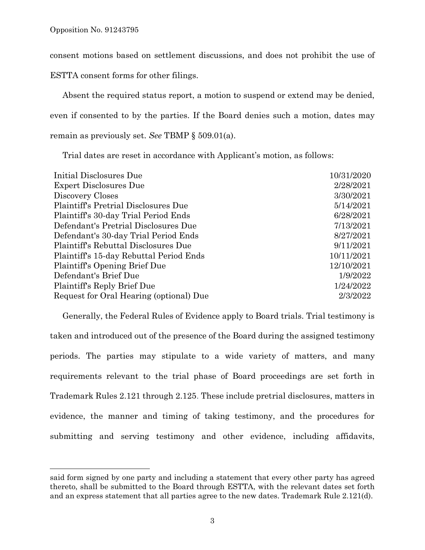l

consent motions based on settlement discussions, and does not prohibit the use of

ESTTA consent forms for other filings.

Absent the required status report, a motion to suspend or extend may be denied, even if consented to by the parties. If the Board denies such a motion, dates may remain as previously set. *See* TBMP § 509.01(a).

Trial dates are reset in accordance with Applicant's motion, as follows:

| Initial Disclosures Due                     | 10/31/2020 |
|---------------------------------------------|------------|
| <b>Expert Disclosures Due</b>               | 2/28/2021  |
|                                             |            |
| Discovery Closes                            | 3/30/2021  |
| <b>Plaintiff's Pretrial Disclosures Due</b> | 5/14/2021  |
| Plaintiff's 30-day Trial Period Ends        | 6/28/2021  |
| Defendant's Pretrial Disclosures Due        | 7/13/2021  |
| Defendant's 30-day Trial Period Ends        | 8/27/2021  |
| Plaintiff's Rebuttal Disclosures Due        | 9/11/2021  |
| Plaintiff's 15-day Rebuttal Period Ends     | 10/11/2021 |
| Plaintiff's Opening Brief Due               | 12/10/2021 |
| Defendant's Brief Due                       | 1/9/2022   |
| Plaintiff's Reply Brief Due                 | 1/24/2022  |
| Request for Oral Hearing (optional) Due     | 2/3/2022   |
|                                             |            |

Generally, the Federal Rules of Evidence apply to Board trials. Trial testimony is taken and introduced out of the presence of the Board during the assigned testimony periods. The parties may stipulate to a wide variety of matters, and many requirements relevant to the trial phase of Board proceedings are set forth in Trademark Rules 2.121 through 2.125. These include pretrial disclosures, matters in evidence, the manner and timing of taking testimony, and the procedures for submitting and serving testimony and other evidence, including affidavits,

said form signed by one party and including a statement that every other party has agreed thereto, shall be submitted to the Board through ESTTA, with the relevant dates set forth and an express statement that all parties agree to the new dates. Trademark Rule 2.121(d).